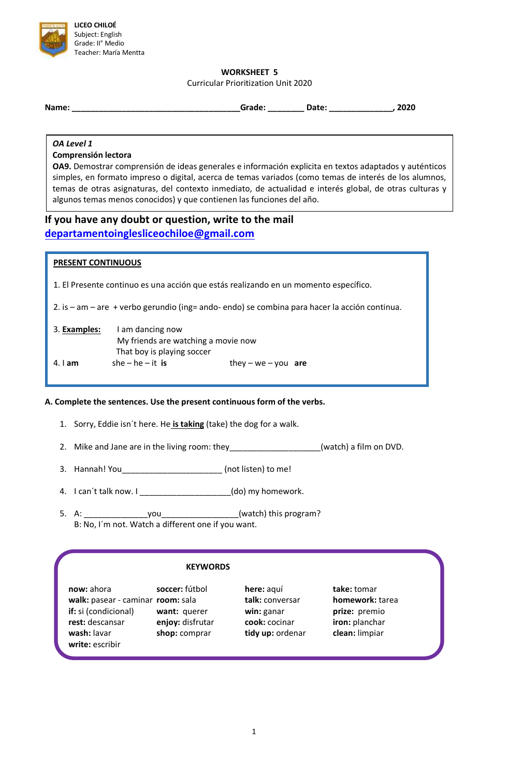

**WORKSHEET 5**

Curricular Prioritization Unit 2020

| Name: | Grade: | <b>Date:</b> | <br>cucu |
|-------|--------|--------------|----------|
|       |        |              |          |

#### *OA Level 1*

## **Comprensión lectora**

**OA9.** Demostrar comprensión de ideas generales e información explicita en textos adaptados y auténticos simples, en formato impreso o digital, acerca de temas variados (como temas de interés de los alumnos, temas de otras asignaturas, del contexto inmediato, de actualidad e interés global, de otras culturas y algunos temas menos conocidos) y que contienen las funciones del año.

# **If you have any doubt or question, write to the mail [departamentoinglesliceochiloe@gmail.com](mailto:departamentoinglesliceochiloe@gmail.com)**

## **PRESENT CONTINUOUS**

1. El Presente continuo es una acción que estás realizando en un momento específico.

2. is – am – are + verbo gerundio (ing= ando- endo) se combina para hacer la acción continua.

| 3. Examples: | I am dancing now                    |                     |  |
|--------------|-------------------------------------|---------------------|--|
|              | My friends are watching a movie now |                     |  |
|              | That boy is playing soccer          |                     |  |
| $4.1$ am     | she – he – it is                    | they – we – you are |  |

# **A. Complete the sentences. Use the present continuous form of the verbs.**

- 1. Sorry, Eddie isn´t here. He **is taking** (take) the dog for a walk.
- 2. Mike and Jane are in the living room: they\_\_\_\_\_\_\_\_\_\_\_\_\_\_\_\_\_(watch) a film on DVD.
- 3. Hannah! You\_\_\_\_\_\_\_\_\_\_\_\_\_\_\_\_\_\_\_\_\_\_ (not listen) to me!
- 4. I can´t talk now. I \_\_\_\_\_\_\_\_\_\_\_\_\_\_\_\_\_\_\_\_(do) my homework.
- 5. A: \_\_\_\_\_\_\_\_\_\_\_\_\_\_you\_\_\_\_\_\_\_\_\_\_\_\_\_\_\_\_\_(watch) this program? B: No, I´m not. Watch a different one if you want.

## **KEYWORDS**

**now:** ahora **soccer:** fútbol **here:** aquí **take:** tomar **walk:** pasear - caminar **room:** sala **talk:** conversar **homework:** tarea **if:** si (condicional) **want:** querer **win:** ganar **prize:** premio **rest:** descansar **enjoy:** disfrutar **cook:** cocinar **iron:** planchar **wash:** lavar **shop:** comprar **tidy up:** ordenar **clean:** limpiar **write:** escribir